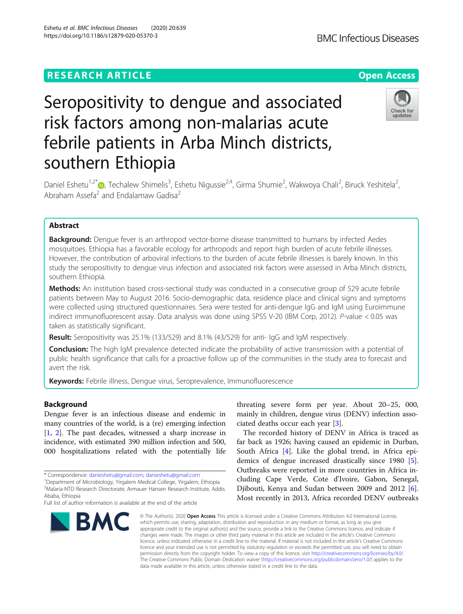# **RESEARCH ARTICLE Example 2014 12:30 The Contract of Contract ACCESS**

# Seropositivity to dengue and associated risk factors among non-malarias acute febrile patients in Arba Minch districts, southern Ethiopia

Daniel Eshetu<sup>1[,](http://orcid.org/0000-0003-3010-8816)2\*</sup>®, Techalew Shimelis<sup>3</sup>, Eshetu Nigussie<sup>2,4</sup>, Girma Shumie<sup>2</sup>, Wakwoya Chali<sup>2</sup>, Biruck Yeshitela<sup>2</sup> .<br>, Abraham Assefa<sup>2</sup> and Endalamaw Gadisa<sup>2</sup>

# Abstract

**Background:** Dengue fever is an arthropod vector-borne disease transmitted to humans by infected Aedes mosquitoes. Ethiopia has a favorable ecology for arthropods and report high burden of acute febrile illnesses. However, the contribution of arboviral infections to the burden of acute febrile illnesses is barely known. In this study the seropositivity to dengue virus infection and associated risk factors were assessed in Arba Minch districts, southern Ethiopia.

Methods: An institution based cross-sectional study was conducted in a consecutive group of 529 acute febrile patients between May to August 2016. Socio-demographic data, residence place and clinical signs and symptoms were collected using structured questionnaires. Sera were tested for anti-dengue IgG and IgM using Euroimmune indirect immunofluorescent assay. Data analysis was done using SPSS V-20 (IBM Corp, 2012). P-value < 0.05 was taken as statistically significant.

Result: Seropositivity was 25.1% (133/529) and 8.1% (43/529) for anti- IgG and IgM respectively.

Conclusion: The high IgM prevalence detected indicate the probability of active transmission with a potential of public health significance that calls for a proactive follow up of the communities in the study area to forecast and avert the risk.

Keywords: Febrile illness, Dengue virus, Seroprevalence, Immunofluorescence

## Background

Dengue fever is an infectious disease and endemic in many countries of the world, is a (re) emerging infection [[1,](#page-5-0) [2](#page-5-0)]. The past decades, witnessed a sharp increase in incidence, with estimated 390 million infection and 500, 000 hospitalizations related with the potentially life

**BMC** 

# threating severe form per year. About 20–25, 000, mainly in children, dengue virus (DENV) infection associated deaths occur each year [\[3](#page-5-0)].

The recorded history of DENV in Africa is traced as far back as 1926; having caused an epidemic in Durban, South Africa [[4](#page-5-0)]. Like the global trend, in Africa epidemics of dengue increased drastically since 1980 [\[5](#page-5-0)]. Outbreaks were reported in more countries in Africa including Cape Verde, Cote d'Ivoire, Gabon, Senegal, Djibouti, Kenya and Sudan between 2009 and 2012 [\[6](#page-5-0)]. Most recently in 2013, Africa recorded DENV outbreaks

© The Author(s), 2020 **Open Access** This article is licensed under a Creative Commons Attribution 4.0 International License, licence, unless indicated otherwise in a credit line to the material. If material is not included in the article's Creative Commons licence and your intended use is not permitted by statutory regulation or exceeds the permitted use, you will need to obtain permission directly from the copyright holder. To view a copy of this licence, visit [http://creativecommons.org/licenses/by/4.0/.](http://creativecommons.org/licenses/by/4.0/) The Creative Commons Public Domain Dedication waiver [\(http://creativecommons.org/publicdomain/zero/1.0/](http://creativecommons.org/publicdomain/zero/1.0/)) applies to the

which permits use, sharing, adaptation, distribution and reproduction in any medium or format, as long as you give appropriate credit to the original author(s) and the source, provide a link to the Creative Commons licence, and indicate if changes were made. The images or other third party material in this article are included in the article's Creative Commons data made available in this article, unless otherwise stated in a credit line to the data.

Eshetu et al. BMC Infectious Diseases (2020) 20:639 https://doi.org/10.1186/s12879-020-05370-3







<sup>\*</sup> Correspondence: [danieshetu@gmail.com](mailto:danieshetu@gmail.com); [danieshetu@gmail.com](mailto:danieshetu@gmail.com) <sup>1</sup>

<sup>&</sup>lt;sup>1</sup>Department of Microbiology, Yirgalem Medical College, Yirgalem, Ethiopia 2 Malaria-NTD Research Directorate, Armauer Hansen Research Institute, Addis Ababa, Ethiopia

Full list of author information is available at the end of the article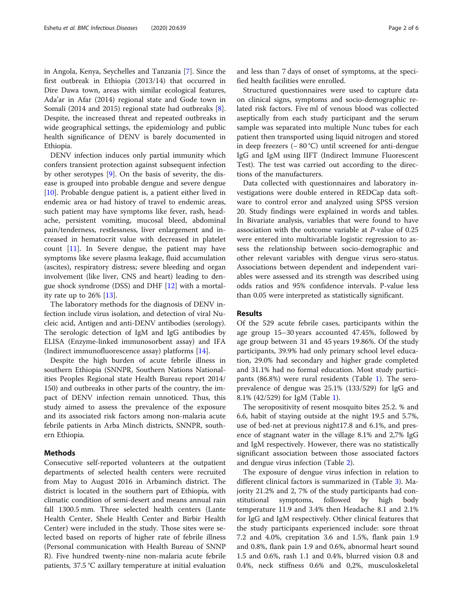in Angola, Kenya, Seychelles and Tanzania [\[7](#page-5-0)]. Since the first outbreak in Ethiopia (2013/14) that occurred in Dire Dawa town, areas with similar ecological features, Ada'ar in Afar (2014) regional state and Gode town in Somali (2014 and 2015) regional state had outbreaks [\[8](#page-5-0)]. Despite, the increased threat and repeated outbreaks in wide geographical settings, the epidemiology and public health significance of DENV is barely documented in Ethiopia.

DENV infection induces only partial immunity which confers transient protection against subsequent infection by other serotypes [\[9\]](#page-5-0). On the basis of severity, the disease is grouped into probable dengue and severe dengue [[10\]](#page-5-0). Probable dengue patient is, a patient either lived in endemic area or had history of travel to endemic areas, such patient may have symptoms like fever, rash, headache, persistent vomiting, mucosal bleed, abdominal pain/tenderness, restlessness, liver enlargement and increased in hematocrit value with decreased in platelet count [\[11](#page-5-0)]. In Severe dengue, the patient may have symptoms like severe plasma leakage, fluid accumulation (ascites), respiratory distress; severe bleeding and organ involvement (like liver, CNS and heart) leading to dengue shock syndrome (DSS) and DHF [\[12](#page-5-0)] with a mortality rate up to 26% [[13\]](#page-5-0).

The laboratory methods for the diagnosis of DENV infection include virus isolation, and detection of viral Nucleic acid, Antigen and anti-DENV antibodies (serology). The serologic detection of IgM and IgG antibodies by ELISA (Enzyme-linked immunosorbent assay) and IFA (Indirect immunofluorescence assay) platforms [\[14](#page-5-0)].

Despite the high burden of acute febrile illness in southern Ethiopia (SNNPR, Southern Nations Nationalities Peoples Regional state Health Bureau report 2014/ 150) and outbreaks in other parts of the country, the impact of DENV infection remain unnoticed. Thus, this study aimed to assess the prevalence of the exposure and its associated risk factors among non-malaria acute febrile patients in Arba Minch districts, SNNPR, southern Ethiopia.

## Methods

Consecutive self-reported volunteers at the outpatient departments of selected health centers were recruited from May to August 2016 in Arbaminch district. The district is located in the southern part of Ethiopia, with climatic condition of semi-desert and means annual rain fall 1300.5 mm. Three selected health centers (Lante Health Center, Shele Health Center and Birbir Health Center) were included in the study. Those sites were selected based on reports of higher rate of febrile illness (Personal communication with Health Bureau of SNNP R). Five hundred twenty-nine non-malaria acute febrile patients, 37.5 °C axillary temperature at initial evaluation and less than 7 days of onset of symptoms, at the specified health facilities were enrolled.

Structured questionnaires were used to capture data on clinical signs, symptoms and socio-demographic related risk factors. Five ml of venous blood was collected aseptically from each study participant and the serum sample was separated into multiple Nunc tubes for each patient then transported using liquid nitrogen and stored in deep freezers (− 80 °C) until screened for anti-dengue IgG and IgM using IIFT (Indirect Immune Fluorescent Test). The test was carried out according to the directions of the manufacturers.

Data collected with questionnaires and laboratory investigations were double entered in REDCap data software to control error and analyzed using SPSS version 20. Study findings were explained in words and tables. In Bivariate analysis, variables that were found to have association with the outcome variable at P-value of 0.25 were entered into multivariable logistic regression to assess the relationship between socio-demographic and other relevant variables with dengue virus sero-status. Associations between dependent and independent variables were assessed and its strength was described using odds ratios and 95% confidence intervals. P-value less than 0.05 were interpreted as statistically significant.

## Results

Of the 529 acute febrile cases, participants within the age group 15–30 years accounted 47.45%, followed by age group between 31 and 45 years 19.86%. Of the study participants, 39.9% had only primary school level education, 29.0% had secondary and higher grade completed and 31.1% had no formal education. Most study participants (86.8%) were rural residents (Table [1](#page-2-0)). The seroprevalence of dengue was 25.1% (133/529) for IgG and 8.1% (42/529) for IgM (Table [1\)](#page-2-0).

The seropositivity of resent mosquito bites 25.2. % and 6.6, habit of staying outside at the night 19.5 and 5.7%, use of bed-net at previous night17.8 and 6.1%, and presence of stagnant water in the village 8.1% and 2,7% IgG and IgM respectively. However, there was no statistically significant association between those associated factors and dengue virus infection (Table [2\)](#page-2-0).

The exposure of dengue virus infection in relation to different clinical factors is summarized in (Table [3](#page-3-0)). Majority 21.2% and 2, 7% of the study participants had constitutional symptoms, followed by high body temperature 11.9 and 3.4% then Headache 8.1 and 2.1% for IgG and IgM respectively. Other clinical features that the study participants experienced include: sore throat 7.2 and 4.0%, crepitation 3.6 and 1.5%, flank pain 1.9 and 0.8%, flank pain 1.9 and 0.6%, abnormal heart sound 1.5 and 0.6%, rash 1.1 and 0.4%, blurred vision 0.8 and 0.4%, neck stiffness 0.6% and 0,2%, musculoskeletal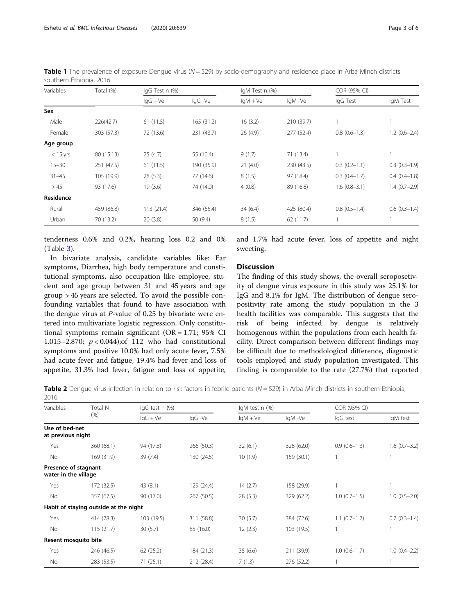<span id="page-2-0"></span>Eshetu et al. BMC Infectious Diseases (2020) 20:639 Page 3 of 6

| Variables  | Total (%)  | IgG Test n (%) |            | IgM Test n (%) |            | COR (95% CI)   |                |
|------------|------------|----------------|------------|----------------|------------|----------------|----------------|
|            |            | $lqG + Ve$     | lgG -Ve    | $IqM + Ve$     | lgM -Ve    | IgG Test       | IgM Test       |
| Sex        |            |                |            |                |            |                |                |
| Male       | 226(42.7)  | 61(11.5)       | 165 (31.2) | 16(3.2)        | 210 (39.7) |                |                |
| Female     | 303 (57.3) | 72 (13.6)      | 231 (43.7) | 26 (4.9)       | 277 (52.4) | $0.8(0.6-1.3)$ | $1.2(0.6-2.4)$ |
| Age group  |            |                |            |                |            |                |                |
| $<$ 15 yrs | 80 (15.13) | 25(4.7)        | 55 (10.4)  | 9(1.7)         | 71(13.4)   |                |                |
| $15 - 30$  | 251 (47.5) | 61(11.5)       | 190 (35.9) | 21(4.0)        | 230 (43.5) | $0.3(0.2-1.1)$ | $0.3(0.3-1.9)$ |
| $31 - 45$  | 105 (19.9) | 28(5.3)        | 77 (14.6)  | 8(1.5)         | 97 (18.4)  | $0.3(0.4-1.7)$ | $0.4(0.4-1.8)$ |
| >45        | 93 (17.6)  | 19(3.6)        | 74 (14.0)  | 4(0.8)         | 89 (16.8)  | $1.6(0.8-3.1)$ | $1.4(0.7-2.9)$ |
| Residence  |            |                |            |                |            |                |                |
| Rural      | 459 (86.8) | 113(21.4)      | 346 (65.4) | 34(6.4)        | 425 (80.4) | $0.8(0.5-1.4)$ | $0.6(0.3-1.4)$ |
| Urban      | 70 (13.2)  | 20(3.8)        | 50(9.4)    | 8(1.5)         | 62(11.7)   |                |                |
|            |            |                |            |                |            |                |                |

**Table 1** The prevalence of exposure Dengue virus ( $N = 529$ ) by socio-demography and residence place in Arba Minch districts southern Ethiopia, 2016

tenderness 0.6% and 0,2%, hearing loss 0.2 and 0% (Table [3\)](#page-3-0).

In bivariate analysis, candidate variables like: Ear symptoms, Diarrhea, high body temperature and constitutional symptoms, also occupation like employee, student and age group between 31 and 45 years and age group > 45 years are selected. To avoid the possible confounding variables that found to have association with the dengue virus at P-value of 0.25 by bivariate were entered into multivariate logistic regression. Only constitutional symptoms remain significant ( $OR = 1.71$ ; 95% CI 1.015–2.870;  $p < 0.044$ ; of 112 who had constitutional symptoms and positive 10.0% had only acute fever, 7.5% had acute fever and fatigue, 19.4% had fever and loss of appetite, 31.3% had fever, fatigue and loss of appetite,

and 1.7% had acute fever, loss of appetite and night sweeting.

# **Discussion**

The finding of this study shows, the overall seroposetivity of dengue virus exposure in this study was 25.1% for IgG and 8.1% for IgM. The distribution of dengue seropositivity rate among the study population in the 3 health facilities was comparable. This suggests that the risk of being infected by dengue is relatively homogenous within the populations from each health facility. Direct comparison between different findings may be difficult due to methodological difference, diagnostic tools employed and study population investigated. This finding is comparable to the rate (27.7%) that reported

Table 2 Dengue virus infection in relation to risk factors in febrile patients ( $N = 529$ ) in Arba Minch districts in southern Ethiopia, 2016

| Variables                                    | Total N<br>(% )                       | IgG test n (%)      |            | IgM test n (%) |            | COR (95% CI)   |                |
|----------------------------------------------|---------------------------------------|---------------------|------------|----------------|------------|----------------|----------------|
|                                              |                                       | $\lg G + \text{Ve}$ | IgG -Ve    | $IqM + Ve$     | IgM -Ve    | lgG test       | IgM test       |
| Use of bed-net<br>at previous night          |                                       |                     |            |                |            |                |                |
| Yes                                          | 360 (68.1)                            | 94 (17.8)           | 266 (50.3) | 32(6.1)        | 328 (62.0) | $0.9(0.6-1.3)$ | $1.6(0.7-3.2)$ |
| No                                           | 169 (31.9)                            | 39(7.4)             | 130 (24.5) | 10(1.9)        | 159 (30.1) | 1              |                |
| Presence of stagnant<br>water in the village |                                       |                     |            |                |            |                |                |
| Yes                                          | 172 (32.5)                            | 43(8.1)             | 129 (24.4) | 14(2.7)        | 158 (29.9) |                |                |
| No                                           | 357 (67.5)                            | 90 (17.0)           | 267 (50.5) | 28(5.3)        | 329 (62.2) | $1.0(0.7-1.5)$ | $1.0(0.5-2.0)$ |
|                                              | Habit of staying outside at the night |                     |            |                |            |                |                |
| Yes                                          | 414 (78.3)                            | 103 (19.5)          | 311 (58.8) | 30(5.7)        | 384 (72.6) | $1.1(0.7-1.7)$ | $0.7(0.3-1.4)$ |
| No                                           | 115(21.7)                             | 30(5.7)             | 85 (16.0)  | 12(2.3)        | 103 (19.5) |                |                |
| Resent mosquito bite                         |                                       |                     |            |                |            |                |                |
| Yes                                          | 246 (46.5)                            | 62(25.2)            | 184 (21.3) | 35(6.6)        | 211 (39.9) | $1.0(0.6-1.7)$ | $1.0(0.4-2.2)$ |
| No                                           | 283 (53.5)                            | 71(25.1)            | 212 (28.4) | 7(1.3)         | 276 (52.2) |                |                |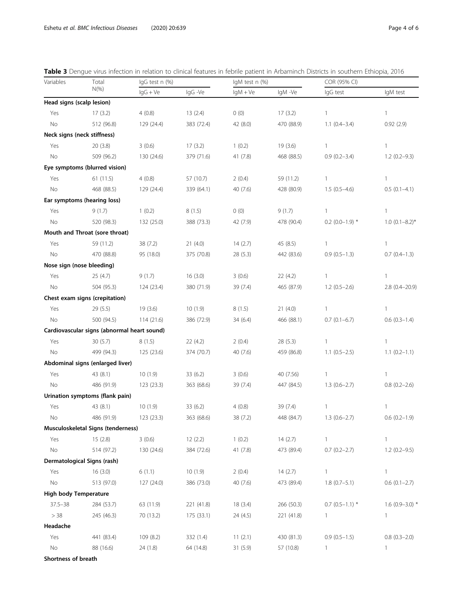| Variables                    | Total<br>$N(\% )$                           | IgG test n (%) |            | IgM test n (%) |            | COR (95% CI)      |                     |
|------------------------------|---------------------------------------------|----------------|------------|----------------|------------|-------------------|---------------------|
|                              |                                             | $lgG + Ve$     | IgG -Ve    | $lgM + Ve$     | IgM-Ve     | IgG test          | IgM test            |
| Head signs (scalp lesion)    |                                             |                |            |                |            |                   |                     |
| Yes                          | 17(3.2)                                     | 4(0.8)         | 13(2.4)    | 0(0)           | 17(3.2)    | 1                 | 1                   |
| No                           | 512 (96.8)                                  | 129 (24.4)     | 383 (72.4) | 42 (8.0)       | 470 (88.9) | $1.1(0.4-3.4)$    | 0.92(2.9)           |
| Neck signs (neck stiffness)  |                                             |                |            |                |            |                   |                     |
| Yes                          | 20(3.8)                                     | 3(0.6)         | 17(3.2)    | 1(0.2)         | 19(3.6)    | 1                 | 1                   |
| No                           | 509 (96.2)                                  | 130 (24.6)     | 379 (71.6) | 41 (7.8)       | 468 (88.5) | $0.9(0.2 - 3.4)$  | $1.2(0.2-9.3)$      |
|                              | Eye symptoms (blurred vision)               |                |            |                |            |                   |                     |
| Yes                          | 61(11.5)                                    | 4(0.8)         | 57 (10.7)  | 2(0.4)         | 59 (11.2)  | 1                 | $\mathbf{1}$        |
| No                           | 468 (88.5)                                  | 129 (24.4)     | 339 (64.1) | 40 (7.6)       | 428 (80.9) | $1.5(0.5-4.6)$    | $0.5(0.1-4.1)$      |
|                              | Ear symptoms (hearing loss)                 |                |            |                |            |                   |                     |
| Yes                          | 9(1.7)                                      | 1(0.2)         | 8(1.5)     | 0(0)           | 9(1.7)     | 1                 | 1                   |
| No                           | 520 (98.3)                                  | 132 (25.0)     | 388 (73.3) | 42 (7.9)       | 478 (90.4) | $0.2$ (0.0-1.9) * | $1.0$ (0.1-8.2)*    |
|                              | Mouth and Throat (sore throat)              |                |            |                |            |                   |                     |
| Yes                          | 59 (11.2)                                   | 38 (7.2)       | 21(4.0)    | 14(2.7)        | 45 (8.5)   | 1                 | 1                   |
| No                           | 470 (88.8)                                  | 95 (18.0)      | 375 (70.8) | 28(5.3)        | 442 (83.6) | $0.9(0.5-1.3)$    | $0.7(0.4-1.3)$      |
| Nose sign (nose bleeding)    |                                             |                |            |                |            |                   |                     |
| Yes                          | 25(4.7)                                     | 9(1.7)         | 16(3.0)    | 3(0.6)         | 22(4.2)    | 1                 | $\mathbf{1}$        |
| No                           | 504 (95.3)                                  | 124 (23.4)     | 380 (71.9) | 39 (7.4)       | 465 (87.9) | $1.2(0.5-2.6)$    | $2.8(0.4 - 20.9)$   |
|                              | Chest exam signs (crepitation)              |                |            |                |            |                   |                     |
| Yes                          | 29 (5.5)                                    | 19(3.6)        | 10(1.9)    | 8(1.5)         | 21(4.0)    | 1                 | 1                   |
| No                           | 500 (94.5)                                  | 114 (21.6)     | 386 (72.9) | 34 (6.4)       | 466 (88.1) | $0.7(0.1-6.7)$    | $0.6$ $(0.3-1.4)$   |
|                              | Cardiovascular signs (abnormal heart sound) |                |            |                |            |                   |                     |
| Yes                          | 30(5.7)                                     | 8(1.5)         | 22(4.2)    | 2(0.4)         | 28(5.3)    | 1                 | $\mathbf{1}$        |
| No                           | 499 (94.3)                                  | 125 (23.6)     | 374 (70.7) | 40 (7.6)       | 459 (86.8) | $1.1(0.5-2.5)$    | $1.1(0.2-1.1)$      |
|                              | Abdominal signs (enlarged liver)            |                |            |                |            |                   |                     |
| Yes                          | 43 (8.1)                                    | 10(1.9)        | 33 (6.2)   | 3(0.6)         | 40 (7.56)  | 1                 | 1                   |
| No                           | 486 (91.9)                                  | 123(23.3)      | 363 (68.6) | 39 (7.4)       | 447 (84.5) | $1.3(0.6 - 2.7)$  | $0.8$ $(0.2 - 2.6)$ |
|                              | Urination symptoms (flank pain)             |                |            |                |            |                   |                     |
| Yes                          | 43 (8.1)                                    | 10(1.9)        | 33 (6.2)   | 4(0.8)         | 39 (7.4)   | 1                 | 1                   |
| No                           | 486 (91.9)                                  | 123(23.3)      | 363 (68.6) | 38 (7.2)       | 448 (84.7) | $1.3(0.6 - 2.7)$  | $0.6(0.2-1.9)$      |
|                              | Musculoskeletal Signs (tenderness)          |                |            |                |            |                   |                     |
| Yes                          | 15(2.8)                                     | 3(0.6)         | 12(2.2)    | 1(0.2)         | 14(2.7)    | 1                 |                     |
| No                           | 514 (97.2)                                  | 130 (24.6)     | 384 (72.6) | 41(7.8)        | 473 (89.4) | $0.7(0.2 - 2.7)$  | $1.2(0.2 - 9.5)$    |
|                              | Dermatological Signs (rash)                 |                |            |                |            |                   |                     |
| Yes                          | 16(3.0)                                     | 6(1.1)         | 10(1.9)    | 2(0.4)         | 14(2.7)    | 1                 | $\mathbf{1}$        |
| No                           | 513 (97.0)                                  | 127 (24.0)     | 386 (73.0) | 40(7.6)        | 473 (89.4) | $1.8(0.7-5.1)$    | $0.6(0.1-2.7)$      |
| <b>High body Temperature</b> |                                             |                |            |                |            |                   |                     |
| $37.5 - 38$                  | 284 (53.7)                                  | 63 (11.9)      | 221 (41.8) | 18(3.4)        | 266 (50.3) | $0.7$ (0.5-1.1) * | 1.6 $(0.9 - 3.0)$ * |
| > 38                         | 245 (46.3)                                  | 70 (13.2)      | 175 (33.1) | 24 (4.5)       | 221 (41.8) | 1                 | 1                   |
| Headache                     |                                             |                |            |                |            |                   |                     |
| Yes                          | 441 (83.4)                                  | 109 (8.2)      | 332 (1.4)  | 11(2.1)        | 430 (81.3) | $0.9(0.5-1.5)$    | $0.8$ $(0.3 - 2.0)$ |
| No                           | 88 (16.6)                                   | 24 (1.8)       | 64 (14.8)  | 31(5.9)        | 57 (10.8)  | 1                 | $\mathbf{1}$        |
| Shortness of breath          |                                             |                |            |                |            |                   |                     |

<span id="page-3-0"></span>Table 3 Dengue virus infection in relation to clinical features in febrile patient in Arbaminch Districts in southern Ethiopia, 2016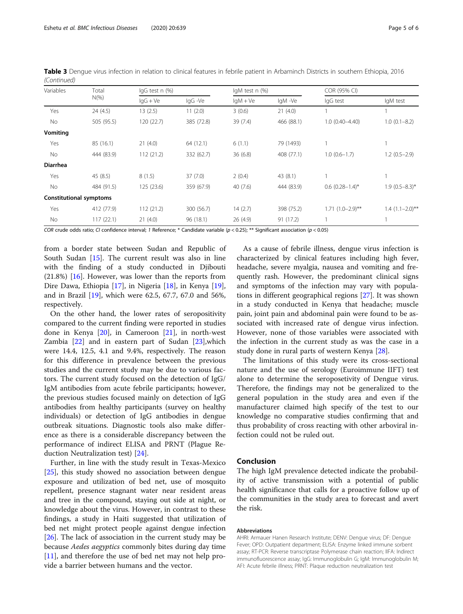| Variables                      | Total<br>$N(\%)$ | IgG test n (%)      |            | IgM test n (%) |            | COR (95% CI)       |                   |
|--------------------------------|------------------|---------------------|------------|----------------|------------|--------------------|-------------------|
|                                |                  | $\lg G + \text{Ve}$ | IgG -Ve    | $IqM + Ve$     | lgM -Ve    | lgG test           | IgM test          |
| Yes                            | 24 (4.5)         | 13(2.5)             | 11(2.0)    | 3(0.6)         | 21(4.0)    |                    | 1                 |
| No                             | 505 (95.5)       | 120(22.7)           | 385 (72.8) | 39(7.4)        | 466 (88.1) | $1.0(0.40 - 4.40)$ | $1.0(0.1 - 8.2)$  |
| Vomiting                       |                  |                     |            |                |            |                    |                   |
| Yes                            | 85 (16.1)        | 21(4.0)             | 64 (12.1)  | 6(1.1)         | 79 (1493)  |                    |                   |
| No                             | 444 (83.9)       | 112(21.2)           | 332 (62.7) | 36(6.8)        | 408 (77.1) | $1.0(0.6-1.7)$     | $1.2(0.5-2.9)$    |
| <b>Diarrhea</b>                |                  |                     |            |                |            |                    |                   |
| Yes                            | 45 (8.5)         | 8(1.5)              | 37(7.0)    | 2(0.4)         | 43(8.1)    |                    | 1                 |
| No                             | 484 (91.5)       | 125(23.6)           | 359 (67.9) | 40(7.6)        | 444 (83.9) | $0.6(0.28-1.4)$ *  | $1.9(0.5-8.3)$ *  |
| <b>Constitutional symptoms</b> |                  |                     |            |                |            |                    |                   |
| Yes                            | 412 (77.9)       | 112(21.2)           | 300 (56.7) | 14(2.7)        | 398 (75.2) | $1.71(1.0-2.9)$ ** | $1.4(1.1-2.0)$ ** |
| No                             | 117(22.1)        | 21(4.0)             | 96 (18.1)  | 26(4.9)        | 91 (17.2)  |                    |                   |

Table 3 Dengue virus infection in relation to clinical features in febrile patient in Arbaminch Districts in southern Ethiopia, 2016 (Continued)

COR crude odds ratio; CI confidence interval; 1 Reference; \* Candidate variable ( $p < 0.25$ ); \*\* Significant association ( $p < 0.05$ )

from a border state between Sudan and Republic of South Sudan [[15\]](#page-5-0). The current result was also in line with the finding of a study conducted in Djibouti (21.8%) [[16](#page-5-0)]. However, was lower than the reports from Dire Dawa, Ethiopia [[17\]](#page-5-0), in Nigeria [[18](#page-5-0)], in Kenya [\[19](#page-5-0)], and in Brazil [\[19\]](#page-5-0), which were 62.5, 67.7, 67.0 and 56%, respectively.

On the other hand, the lower rates of seropositivity compared to the current finding were reported in studies done in Kenya [\[20](#page-5-0)], in Cameroon [[21\]](#page-5-0), in north-west Zambia [[22\]](#page-5-0) and in eastern part of Sudan [[23\]](#page-5-0),which were 14.4, 12.5, 4.1 and 9.4%, respectively. The reason for this difference in prevalence between the previous studies and the current study may be due to various factors. The current study focused on the detection of IgG/ IgM antibodies from acute febrile participants; however, the previous studies focused mainly on detection of IgG antibodies from healthy participants (survey on healthy individuals) or detection of IgG antibodies in dengue outbreak situations. Diagnostic tools also make difference as there is a considerable discrepancy between the performance of indirect ELISA and PRNT (Plague Reduction Neutralization test) [\[24\]](#page-5-0).

Further, in line with the study result in Texas-Mexico [[25\]](#page-5-0), this study showed no association between dengue exposure and utilization of bed net, use of mosquito repellent, presence stagnant water near resident areas and tree in the compound, staying out side at night, or knowledge about the virus. However, in contrast to these findings, a study in Haiti suggested that utilization of bed net might protect people against dengue infection [[26\]](#page-5-0). The lack of association in the current study may be because Aedes aegyptics commonly bites during day time [[11\]](#page-5-0), and therefore the use of bed net may not help provide a barrier between humans and the vector.

As a cause of febrile illness, dengue virus infection is characterized by clinical features including high fever, headache, severe myalgia, nausea and vomiting and frequently rash. However, the predominant clinical signs and symptoms of the infection may vary with populations in different geographical regions [[27](#page-5-0)]. It was shown in a study conducted in Kenya that headache; muscle pain, joint pain and abdominal pain were found to be associated with increased rate of dengue virus infection. However, none of those variables were associated with the infection in the current study as was the case in a study done in rural parts of western Kenya [\[28\]](#page-5-0).

The limitations of this study were its cross-sectional nature and the use of serology (Euroimmune IIFT) test alone to determine the seroposetivity of Dengue virus. Therefore, the findings may not be generalized to the general population in the study area and even if the manufacturer claimed high specify of the test to our knowledge no comparative studies confirming that and thus probability of cross reacting with other arboviral infection could not be ruled out.

## Conclusion

The high IgM prevalence detected indicate the probability of active transmission with a potential of public health significance that calls for a proactive follow up of the communities in the study area to forecast and avert the risk.

#### Abbreviations

AHRI: Armauer Hanen Research Institute; DENV: Dengue virus; DF: Dengue Fever; OPD: Outpatient department; ELISA: Enzyme linked immune sorbent assay; RT-PCR: Reverse transcriptase Polymerase chain reaction; IIFA: Indirect immunofluorescence assay; IgG: Immunoglobulin G; IgM: Immunoglobulin M; AFI: Acute febrile illness; PRNT: Plaque reduction neutralization test